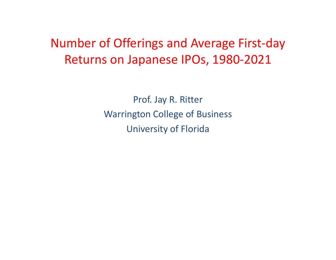## Number of Offerings and Average First-day Returns on Japanese IPOs, 1980-2021

Prof. Jay R. RitterWarrington College of BusinessUniversity of Florida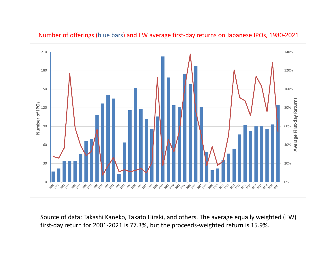

Number of offerings (blue bars) and EW average first-day returns on Japanese IPOs, 1980-2021

Source of data: Takashi Kaneko, Takato Hiraki, and others. The average equally weighted (EW) first-day return for 2001-2021 is 77.3%, but the proceeds-weighted return is 15.9%.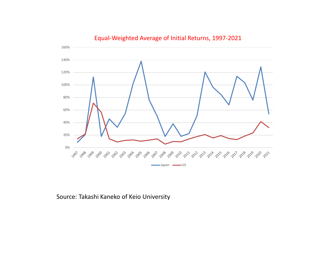

## Equal-Weighted Average of Initial Returns, 1997-2021

Source: Takashi Kaneko of Keio University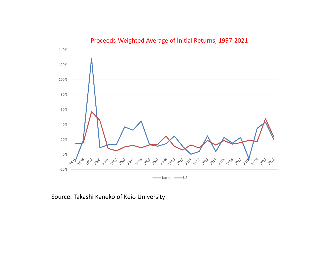

## Proceeds-Weighted Average of Initial Returns, 1997-2021

Source: Takashi Kaneko of Keio University